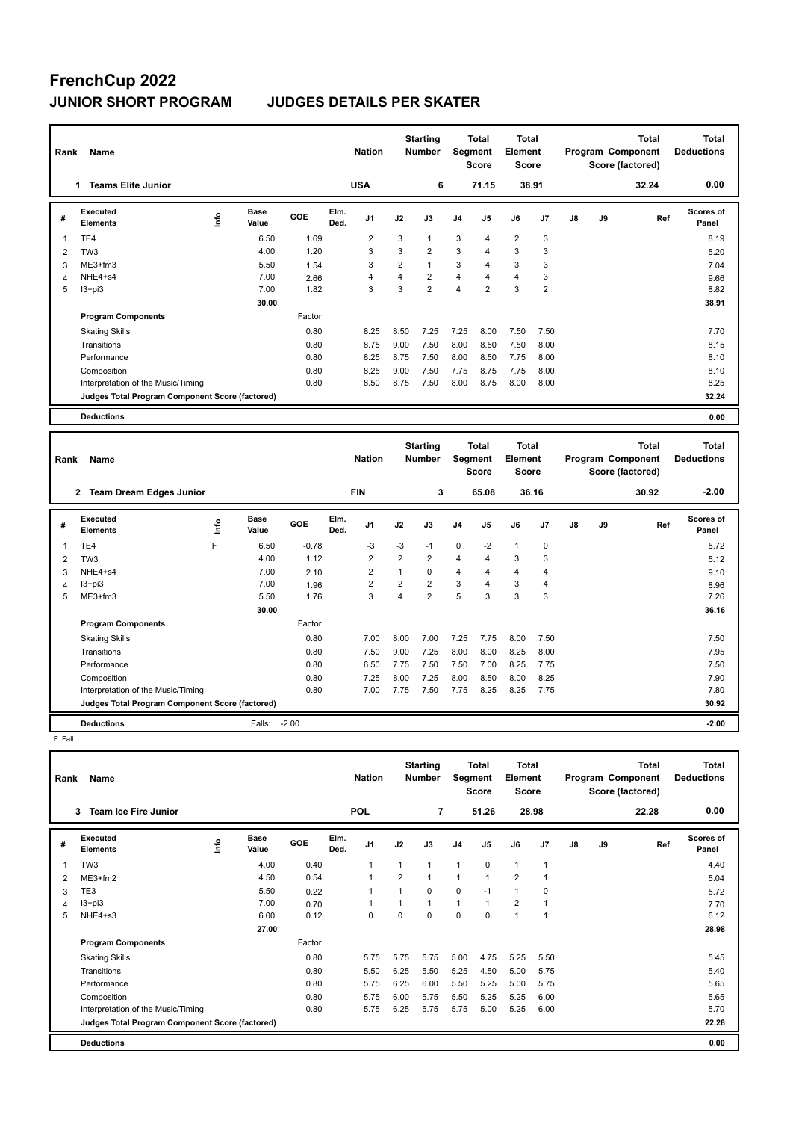# **FrenchCup 2022**

### **JUNIOR SHORT PROGRAM JUDGES DETAILS PER SKATER**

| Rank           | Name                                            |                              |         |              | <b>Nation</b>  |                | <b>Starting</b><br><b>Number</b> |                | <b>Total</b><br>Segment<br><b>Score</b> | Total<br>Element<br><b>Score</b> |                |    |    | <b>Total</b><br>Program Component<br>Score (factored) | <b>Total</b><br><b>Deductions</b> |
|----------------|-------------------------------------------------|------------------------------|---------|--------------|----------------|----------------|----------------------------------|----------------|-----------------------------------------|----------------------------------|----------------|----|----|-------------------------------------------------------|-----------------------------------|
|                | <b>Teams Elite Junior</b><br>1                  |                              |         |              | <b>USA</b>     |                | 6                                |                | 71.15                                   | 38.91                            |                |    |    | 32.24                                                 | 0.00                              |
| #              | Executed<br><b>Elements</b>                     | Base<br><u>info</u><br>Value | GOE     | Elm.<br>Ded. | J <sub>1</sub> | J2             | J3                               | J <sub>4</sub> | J5                                      | J6                               | J <sub>7</sub> | J8 | J9 | Ref                                                   | <b>Scores of</b><br>Panel         |
| 1              | TE4                                             | 6.50                         | 1.69    |              | $\overline{2}$ | 3              | $\mathbf{1}$                     | 3              | $\overline{4}$                          | $\overline{2}$                   | 3              |    |    |                                                       | 8.19                              |
| $\overline{2}$ | TW <sub>3</sub>                                 | 4.00                         | 1.20    |              | 3              | 3              | $\overline{2}$                   | 3              | 4                                       | 3                                | 3              |    |    |                                                       | 5.20                              |
| 3              | $ME3+fm3$                                       | 5.50                         | 1.54    |              | 3              | $\overline{2}$ | $\mathbf{1}$                     | 3              | 4                                       | 3                                | 3              |    |    |                                                       | 7.04                              |
| $\overline{4}$ | NHE4+s4                                         | 7.00                         | 2.66    |              | 4              | 4              | $\overline{2}$                   | $\overline{4}$ | 4                                       | $\overline{4}$                   | 3              |    |    |                                                       | 9.66                              |
| 5              | $13 + pi3$                                      | 7.00                         | 1.82    |              | 3              | 3              | $\overline{2}$                   | $\overline{4}$ | $\overline{2}$                          | 3                                | $\overline{2}$ |    |    |                                                       | 8.82                              |
|                |                                                 | 30.00                        |         |              |                |                |                                  |                |                                         |                                  |                |    |    |                                                       | 38.91                             |
|                | <b>Program Components</b>                       |                              | Factor  |              |                |                |                                  |                |                                         |                                  |                |    |    |                                                       |                                   |
|                | <b>Skating Skills</b>                           |                              | 0.80    |              | 8.25           | 8.50           | 7.25                             | 7.25           | 8.00                                    | 7.50                             | 7.50           |    |    |                                                       | 7.70                              |
|                | Transitions                                     |                              | 0.80    |              | 8.75           | 9.00           | 7.50                             | 8.00           | 8.50                                    | 7.50                             | 8.00           |    |    |                                                       | 8.15                              |
|                | Performance                                     |                              | 0.80    |              | 8.25           | 8.75           | 7.50                             | 8.00           | 8.50                                    | 7.75                             | 8.00           |    |    |                                                       | 8.10                              |
|                | Composition                                     |                              | 0.80    |              | 8.25           | 9.00           | 7.50                             | 7.75           | 8.75                                    | 7.75                             | 8.00           |    |    |                                                       | 8.10                              |
|                | Interpretation of the Music/Timing              |                              | 0.80    |              | 8.50           | 8.75           | 7.50                             | 8.00           | 8.75                                    | 8.00                             | 8.00           |    |    |                                                       | 8.25                              |
|                | Judges Total Program Component Score (factored) |                              |         |              |                |                |                                  |                |                                         |                                  |                |    |    |                                                       | 32.24                             |
|                | <b>Deductions</b>                               |                              |         |              |                |                |                                  |                |                                         |                                  |                |    |    |                                                       | 0.00                              |
|                |                                                 |                              |         |              |                |                | <b>Starting</b>                  |                | <b>Total</b>                            | <b>Total</b>                     |                |    |    | <b>Total</b>                                          | <b>Total</b>                      |
| Rank           | Name                                            |                              |         |              | <b>Nation</b>  |                | <b>Number</b>                    |                | <b>Segment</b><br><b>Score</b>          | Element<br><b>Score</b>          |                |    |    | Program Component<br>Score (factored)                 | <b>Deductions</b>                 |
|                | 2 Team Dream Edges Junior                       |                              |         | <b>FIN</b>   |                |                | 3                                |                | 65.08                                   | 36.16                            |                |    |    | 30.92                                                 | $-2.00$                           |
| #              | <b>Executed</b><br><b>Elements</b>              | <b>Base</b><br>١nfo<br>Value | GOE     | Elm.<br>Ded. | J <sub>1</sub> | J2             | J3                               | J <sub>4</sub> | J5                                      | J6                               | J <sub>7</sub> | J8 | J9 | Ref                                                   | Scores of<br>Panel                |
| 1              | TE4                                             | F<br>6.50                    | $-0.78$ |              | $-3$           | $-3$           | $-1$                             | $\mathbf 0$    | $-2$                                    | $\mathbf{1}$                     | $\mathbf 0$    |    |    |                                                       | 5.72                              |
| 2              | TW <sub>3</sub>                                 | 4.00                         | 1.12    |              | $\overline{2}$ | $\overline{2}$ | $\overline{2}$                   | $\overline{4}$ | 4                                       | 3                                | 3              |    |    |                                                       | 5.12                              |

3 NHE4+s4 7.00 2.10 2 1 0 4 4 4 4 9.10 4 I3+pi3 7.00 1.96 2 2 2 3 4 3 4 8.96 5 ME3+fm3 5.50 1.76 3 4 2 5 3 3 3 7.26

Factor

Skating Skills 7.00 8.00 7.00 7.25 7.75 8.00 7.50 0.80 7.50

Transitions 0.80 7.50 9.00 7.25 8.00 8.00 8.25 8.00 7.95 Performance 0.80 6.50 7.75 7.50 7.50 7.00 8.25 7.75 7.50 Composition 0.80 7.25 8.00 7.25 8.00 8.50 8.00 8.25 7.90 Interpretation of the Music/Timing 0.80 7.00 7.75 7.50 7.75 8.25 8.25 7.75 7.80 7.80

**Deductions** Falls: -2.00 **-2.00 Judges Total Program Component Score (factored) 30.92**

 **30.00 36.16**

F Fall

**Program Components** 

| Rank | <b>Name</b>                                     |             |               |        |              | <b>Nation</b>  |                | <b>Starting</b><br><b>Number</b> | Segment        | <b>Total</b><br><b>Score</b> | <b>Total</b><br>Element<br><b>Score</b> |                |    |    | <b>Total</b><br>Program Component<br>Score (factored) | <b>Total</b><br><b>Deductions</b> |
|------|-------------------------------------------------|-------------|---------------|--------|--------------|----------------|----------------|----------------------------------|----------------|------------------------------|-----------------------------------------|----------------|----|----|-------------------------------------------------------|-----------------------------------|
|      | <b>Team Ice Fire Junior</b><br>3                |             |               |        |              | <b>POL</b>     |                | 7                                |                | 51.26                        |                                         | 28.98          |    |    | 22.28                                                 | 0.00                              |
| #    | Executed<br><b>Elements</b>                     | <b>Info</b> | Base<br>Value | GOE    | Elm.<br>Ded. | J <sub>1</sub> | J2             | J3                               | J <sub>4</sub> | J <sub>5</sub>               | J6                                      | J7             | J8 | J9 | Ref                                                   | Scores of<br>Panel                |
| 1    | TW <sub>3</sub>                                 |             | 4.00          | 0.40   |              | $\overline{1}$ | 1              | 1                                | $\mathbf{1}$   | $\Omega$                     | $\mathbf{1}$                            | $\overline{1}$ |    |    |                                                       | 4.40                              |
| 2    | $ME3+fm2$                                       |             | 4.50          | 0.54   |              |                | $\overline{2}$ | 1                                | 1              |                              | $\overline{2}$                          | 1              |    |    |                                                       | 5.04                              |
| 3    | TE3                                             |             | 5.50          | 0.22   |              |                | 1              | 0                                | 0              | $-1$                         | $\mathbf{1}$                            | $\mathbf 0$    |    |    |                                                       | 5.72                              |
| 4    | $13 + pi3$                                      |             | 7.00          | 0.70   |              |                | 1              | 1                                | $\mathbf{1}$   | $\overline{1}$               | $\overline{2}$                          | 1              |    |    |                                                       | 7.70                              |
| 5    | NHE4+s3                                         |             | 6.00          | 0.12   |              | 0              | $\Omega$       | $\Omega$                         | $\mathbf 0$    | $\mathbf 0$                  | $\overline{1}$                          | 1              |    |    |                                                       | 6.12                              |
|      |                                                 |             | 27.00         |        |              |                |                |                                  |                |                              |                                         |                |    |    |                                                       | 28.98                             |
|      | <b>Program Components</b>                       |             |               | Factor |              |                |                |                                  |                |                              |                                         |                |    |    |                                                       |                                   |
|      | <b>Skating Skills</b>                           |             |               | 0.80   |              | 5.75           | 5.75           | 5.75                             | 5.00           | 4.75                         | 5.25                                    | 5.50           |    |    |                                                       | 5.45                              |
|      | Transitions                                     |             |               | 0.80   |              | 5.50           | 6.25           | 5.50                             | 5.25           | 4.50                         | 5.00                                    | 5.75           |    |    |                                                       | 5.40                              |
|      | Performance                                     |             |               | 0.80   |              | 5.75           | 6.25           | 6.00                             | 5.50           | 5.25                         | 5.00                                    | 5.75           |    |    |                                                       | 5.65                              |
|      | Composition                                     |             |               | 0.80   |              | 5.75           | 6.00           | 5.75                             | 5.50           | 5.25                         | 5.25                                    | 6.00           |    |    |                                                       | 5.65                              |
|      | Interpretation of the Music/Timing              |             |               | 0.80   |              | 5.75           | 6.25           | 5.75                             | 5.75           | 5.00                         | 5.25                                    | 6.00           |    |    |                                                       | 5.70                              |
|      | Judges Total Program Component Score (factored) |             |               |        |              |                |                |                                  |                |                              |                                         |                |    |    |                                                       | 22.28                             |
|      | <b>Deductions</b>                               |             |               |        |              |                |                |                                  |                |                              |                                         |                |    |    |                                                       | 0.00                              |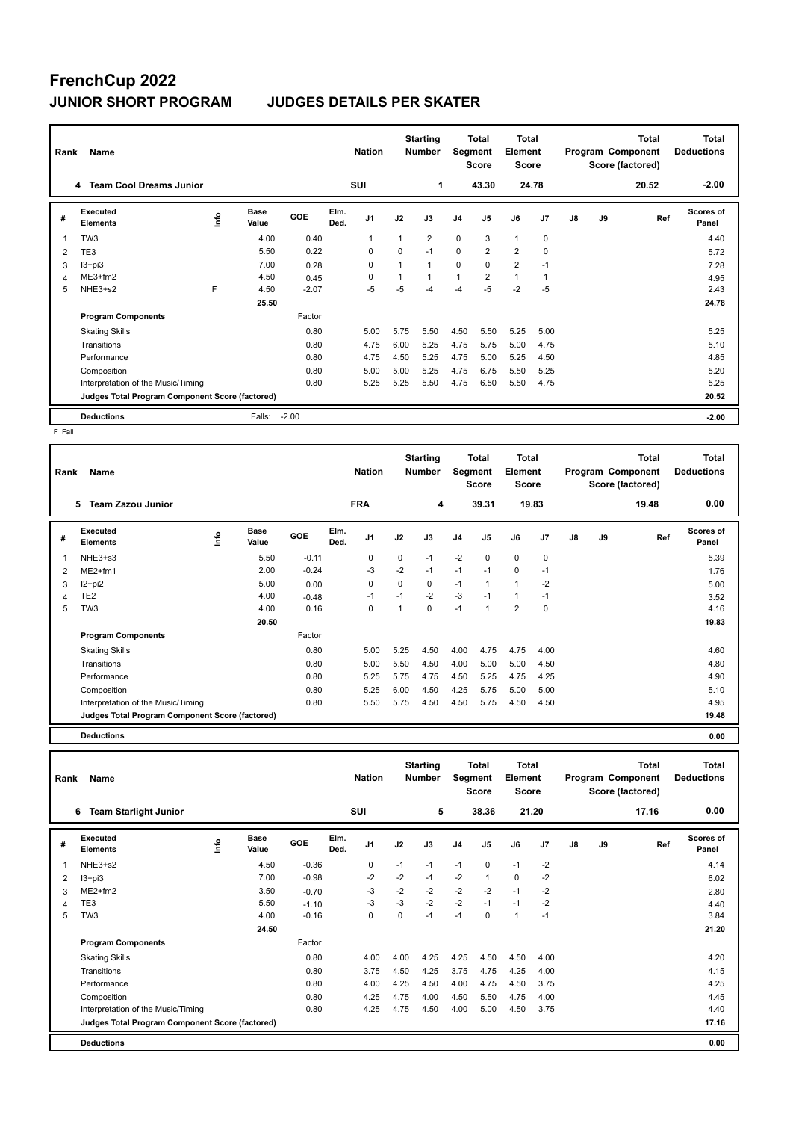## **FrenchCup 2022 JUNIOR SHORT PROGRAM JUDGES DETAILS PER SKATER**

| Rank | Name                                            |    |                      |         |              | <b>Nation</b>  |             | <b>Starting</b><br><b>Number</b> | Segment      | Total<br><b>Score</b> | Total<br>Element<br><b>Score</b> |                |               |    | <b>Total</b><br>Program Component<br>Score (factored) | <b>Total</b><br><b>Deductions</b> |
|------|-------------------------------------------------|----|----------------------|---------|--------------|----------------|-------------|----------------------------------|--------------|-----------------------|----------------------------------|----------------|---------------|----|-------------------------------------------------------|-----------------------------------|
|      | <b>Team Cool Dreams Junior</b><br>4             |    |                      |         |              | <b>SUI</b>     |             | 1                                |              | 43.30                 |                                  | 24.78          |               |    | 20.52                                                 | $-2.00$                           |
| #    | Executed<br><b>Elements</b>                     | ۴٥ | <b>Base</b><br>Value | GOE     | Elm.<br>Ded. | J <sub>1</sub> | J2          | J3                               | J4           | J <sub>5</sub>        | J6                               | J <sub>7</sub> | $\mathsf{J}8$ | J9 | Ref                                                   | <b>Scores of</b><br>Panel         |
| 1    | TW <sub>3</sub>                                 |    | 4.00                 | 0.40    |              | $\overline{1}$ |             | $\overline{2}$                   | $\mathbf 0$  | 3                     | $\mathbf{1}$                     | 0              |               |    |                                                       | 4.40                              |
| 2    | TE3                                             |    | 5.50                 | 0.22    |              | 0              | $\mathbf 0$ | $-1$                             | $\mathbf 0$  | $\overline{2}$        | $\overline{2}$                   | 0              |               |    |                                                       | 5.72                              |
| 3    | $13 + pi3$                                      |    | 7.00                 | 0.28    |              | $\Omega$       |             | $\mathbf{1}$                     | $\mathbf 0$  | $\Omega$              | $\overline{2}$                   | $-1$           |               |    |                                                       | 7.28                              |
| 4    | $ME3+fm2$                                       |    | 4.50                 | 0.45    |              | $\Omega$       |             | $\mathbf{1}$                     | $\mathbf{1}$ | $\overline{2}$        | $\mathbf{1}$                     | -1             |               |    |                                                       | 4.95                              |
| 5    | NHE3+s2                                         | F  | 4.50                 | $-2.07$ |              | $-5$           | $-5$        | -4                               | $-4$         | $-5$                  | $-2$                             | $-5$           |               |    |                                                       | 2.43                              |
|      |                                                 |    | 25.50                |         |              |                |             |                                  |              |                       |                                  |                |               |    |                                                       | 24.78                             |
|      | <b>Program Components</b>                       |    |                      | Factor  |              |                |             |                                  |              |                       |                                  |                |               |    |                                                       |                                   |
|      | <b>Skating Skills</b>                           |    |                      | 0.80    |              | 5.00           | 5.75        | 5.50                             | 4.50         | 5.50                  | 5.25                             | 5.00           |               |    |                                                       | 5.25                              |
|      | Transitions                                     |    |                      | 0.80    |              | 4.75           | 6.00        | 5.25                             | 4.75         | 5.75                  | 5.00                             | 4.75           |               |    |                                                       | 5.10                              |
|      | Performance                                     |    |                      | 0.80    |              | 4.75           | 4.50        | 5.25                             | 4.75         | 5.00                  | 5.25                             | 4.50           |               |    |                                                       | 4.85                              |
|      | Composition                                     |    |                      | 0.80    |              | 5.00           | 5.00        | 5.25                             | 4.75         | 6.75                  | 5.50                             | 5.25           |               |    |                                                       | 5.20                              |
|      | Interpretation of the Music/Timing              |    |                      | 0.80    |              | 5.25           | 5.25        | 5.50                             | 4.75         | 6.50                  | 5.50                             | 4.75           |               |    |                                                       | 5.25                              |
|      | Judges Total Program Component Score (factored) |    |                      |         |              |                |             |                                  |              |                       |                                  |                |               |    |                                                       | 20.52                             |
|      | <b>Deductions</b>                               |    | Falls:               | $-2.00$ |              |                |             |                                  |              |                       |                                  |                |               |    |                                                       | $-2.00$                           |

F Fall

| Name<br>Rank |                                                 |   |               |         |              |                |      | <b>Starting</b><br><b>Number</b> |                | Total<br>Segment<br><b>Score</b> | Total<br>Element<br><b>Score</b> |             | <b>Total</b><br>Program Component<br>Score (factored) |    |       | <b>Total</b><br><b>Deductions</b> |  |
|--------------|-------------------------------------------------|---|---------------|---------|--------------|----------------|------|----------------------------------|----------------|----------------------------------|----------------------------------|-------------|-------------------------------------------------------|----|-------|-----------------------------------|--|
|              | 5<br><b>Team Zazou Junior</b>                   |   |               |         |              | <b>FRA</b>     |      | 4                                |                | 39.31                            |                                  | 19.83       |                                                       |    | 19.48 | 0.00                              |  |
| #            | Executed<br><b>Elements</b>                     | ۴ | Base<br>Value | GOE     | Elm.<br>Ded. | J <sub>1</sub> | J2   | J3                               | J <sub>4</sub> | J5                               | J6                               | J7          | J8                                                    | J9 | Ref   | <b>Scores of</b><br>Panel         |  |
|              | NHE3+s3                                         |   | 5.50          | $-0.11$ |              | 0              | 0    | $-1$                             | $-2$           | 0                                | $\mathbf 0$                      | $\mathbf 0$ |                                                       |    |       | 5.39                              |  |
| 2            | $ME2+fm1$                                       |   | 2.00          | $-0.24$ |              | -3             | $-2$ | $-1$                             | $-1$           | $-1$                             | 0                                | $-1$        |                                                       |    |       | 1.76                              |  |
| 3            | $12+pi2$                                        |   | 5.00          | 0.00    |              | 0              | 0    | 0                                | $-1$           | $\mathbf 1$                      | $\mathbf{1}$                     | $-2$        |                                                       |    |       | 5.00                              |  |
| 4            | TE <sub>2</sub>                                 |   | 4.00          | $-0.48$ |              | $-1$           | $-1$ | $-2$                             | $-3$           | $-1$                             | $\mathbf{1}$                     | $-1$        |                                                       |    |       | 3.52                              |  |
| 5            | TW <sub>3</sub>                                 |   | 4.00          | 0.16    |              | 0              |      | 0                                | $-1$           | $\overline{1}$                   | $\overline{2}$                   | $\mathbf 0$ |                                                       |    |       | 4.16                              |  |
|              |                                                 |   | 20.50         |         |              |                |      |                                  |                |                                  |                                  |             |                                                       |    |       | 19.83                             |  |
|              | <b>Program Components</b>                       |   |               | Factor  |              |                |      |                                  |                |                                  |                                  |             |                                                       |    |       |                                   |  |
|              | <b>Skating Skills</b>                           |   |               | 0.80    |              | 5.00           | 5.25 | 4.50                             | 4.00           | 4.75                             | 4.75                             | 4.00        |                                                       |    |       | 4.60                              |  |
|              | Transitions                                     |   |               | 0.80    |              | 5.00           | 5.50 | 4.50                             | 4.00           | 5.00                             | 5.00                             | 4.50        |                                                       |    |       | 4.80                              |  |
|              | Performance                                     |   |               | 0.80    |              | 5.25           | 5.75 | 4.75                             | 4.50           | 5.25                             | 4.75                             | 4.25        |                                                       |    |       | 4.90                              |  |
|              | Composition                                     |   |               | 0.80    |              | 5.25           | 6.00 | 4.50                             | 4.25           | 5.75                             | 5.00                             | 5.00        |                                                       |    |       | 5.10                              |  |
|              | Interpretation of the Music/Timing              |   |               | 0.80    |              | 5.50           | 5.75 | 4.50                             | 4.50           | 5.75                             | 4.50                             | 4.50        |                                                       |    |       | 4.95                              |  |
|              | Judges Total Program Component Score (factored) |   |               |         |              |                |      |                                  |                |                                  |                                  |             |                                                       |    |       | 19.48                             |  |
|              | <b>Deductions</b>                               |   |               |         |              |                |      |                                  |                |                                  |                                  |             |                                                       |    |       | 0.00                              |  |

| Rank | Name                                            |      |                      |         |              | <b>Nation</b>  |      | <b>Starting</b><br><b>Number</b> | Segment        | <b>Total</b><br><b>Score</b> | Total<br><b>Element</b><br><b>Score</b> |       |    |    | <b>Total</b><br>Program Component<br>Score (factored) | Total<br><b>Deductions</b> |
|------|-------------------------------------------------|------|----------------------|---------|--------------|----------------|------|----------------------------------|----------------|------------------------------|-----------------------------------------|-------|----|----|-------------------------------------------------------|----------------------------|
|      | <b>Team Starlight Junior</b><br>6               |      |                      |         |              | <b>SUI</b>     |      | 5                                |                | 38.36                        |                                         | 21.20 |    |    | 17.16                                                 | 0.00                       |
| #    | Executed<br><b>Elements</b>                     | ١nto | <b>Base</b><br>Value | GOE     | Elm.<br>Ded. | J <sub>1</sub> | J2   | J3                               | J <sub>4</sub> | J <sub>5</sub>               | J6                                      | J7    | J8 | J9 | Ref                                                   | <b>Scores of</b><br>Panel  |
| 1    | NHE3+s2                                         |      | 4.50                 | $-0.36$ |              | 0              | $-1$ | $-1$                             | $-1$           | 0                            | $-1$                                    | $-2$  |    |    |                                                       | 4.14                       |
| 2    | $13 + pi3$                                      |      | 7.00                 | $-0.98$ |              | $-2$           | $-2$ | $-1$                             | $-2$           | 1                            | 0                                       | -2    |    |    |                                                       | 6.02                       |
| 3    | $ME2+fm2$                                       |      | 3.50                 | $-0.70$ |              | $-3$           | $-2$ | $-2$                             | $-2$           | $-2$                         | $-1$                                    | -2    |    |    |                                                       | 2.80                       |
| 4    | TE3                                             |      | 5.50                 | $-1.10$ |              | $-3$           | -3   | $-2$                             | $-2$           | $-1$                         | $-1$                                    | -2    |    |    |                                                       | 4.40                       |
| 5    | TW <sub>3</sub>                                 |      | 4.00                 | $-0.16$ |              | $\Omega$       | 0    | $-1$                             | $-1$           | $\Omega$                     | 1                                       | $-1$  |    |    |                                                       | 3.84                       |
|      |                                                 |      | 24.50                |         |              |                |      |                                  |                |                              |                                         |       |    |    |                                                       | 21.20                      |
|      | <b>Program Components</b>                       |      |                      | Factor  |              |                |      |                                  |                |                              |                                         |       |    |    |                                                       |                            |
|      | <b>Skating Skills</b>                           |      |                      | 0.80    |              | 4.00           | 4.00 | 4.25                             | 4.25           | 4.50                         | 4.50                                    | 4.00  |    |    |                                                       | 4.20                       |
|      | Transitions                                     |      |                      | 0.80    |              | 3.75           | 4.50 | 4.25                             | 3.75           | 4.75                         | 4.25                                    | 4.00  |    |    |                                                       | 4.15                       |
|      | Performance                                     |      |                      | 0.80    |              | 4.00           | 4.25 | 4.50                             | 4.00           | 4.75                         | 4.50                                    | 3.75  |    |    |                                                       | 4.25                       |
|      | Composition                                     |      |                      | 0.80    |              | 4.25           | 4.75 | 4.00                             | 4.50           | 5.50                         | 4.75                                    | 4.00  |    |    |                                                       | 4.45                       |
|      | Interpretation of the Music/Timing              |      |                      | 0.80    |              | 4.25           | 4.75 | 4.50                             | 4.00           | 5.00                         | 4.50                                    | 3.75  |    |    |                                                       | 4.40                       |
|      | Judges Total Program Component Score (factored) |      |                      |         |              |                |      |                                  |                |                              |                                         |       |    |    |                                                       | 17.16                      |
|      | <b>Deductions</b>                               |      |                      |         |              |                |      |                                  |                |                              |                                         |       |    |    |                                                       | 0.00                       |